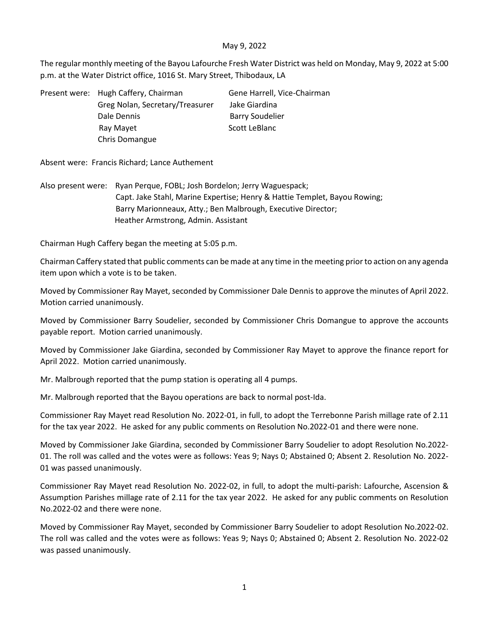## May 9, 2022

The regular monthly meeting of the Bayou Lafourche Fresh Water District was held on Monday, May 9, 2022 at 5:00 p.m. at the Water District office, 1016 St. Mary Street, Thibodaux, LA

Present were: Hugh Caffery, Chairman Gene Harrell, Vice-Chairman Greg Nolan, Secretary/Treasurer Jake Giardina Dale Dennis **Barry Soudelier** Ray Mayet Scott LeBlanc Chris Domangue

Absent were: Francis Richard; Lance Authement

Also present were: Ryan Perque, FOBL; Josh Bordelon; Jerry Waguespack; Capt. Jake Stahl, Marine Expertise; Henry & Hattie Templet, Bayou Rowing; Barry Marionneaux, Atty.; Ben Malbrough, Executive Director; Heather Armstrong, Admin. Assistant

Chairman Hugh Caffery began the meeting at 5:05 p.m.

Chairman Caffery stated that public comments can be made at any time in the meeting prior to action on any agenda item upon which a vote is to be taken.

Moved by Commissioner Ray Mayet, seconded by Commissioner Dale Dennis to approve the minutes of April 2022. Motion carried unanimously.

Moved by Commissioner Barry Soudelier, seconded by Commissioner Chris Domangue to approve the accounts payable report. Motion carried unanimously.

Moved by Commissioner Jake Giardina, seconded by Commissioner Ray Mayet to approve the finance report for April 2022. Motion carried unanimously.

Mr. Malbrough reported that the pump station is operating all 4 pumps.

Mr. Malbrough reported that the Bayou operations are back to normal post-Ida.

Commissioner Ray Mayet read Resolution No. 2022-01, in full, to adopt the Terrebonne Parish millage rate of 2.11 for the tax year 2022. He asked for any public comments on Resolution No.2022-01 and there were none.

Moved by Commissioner Jake Giardina, seconded by Commissioner Barry Soudelier to adopt Resolution No.2022- 01. The roll was called and the votes were as follows: Yeas 9; Nays 0; Abstained 0; Absent 2. Resolution No. 2022- 01 was passed unanimously.

Commissioner Ray Mayet read Resolution No. 2022-02, in full, to adopt the multi-parish: Lafourche, Ascension & Assumption Parishes millage rate of 2.11 for the tax year 2022. He asked for any public comments on Resolution No.2022-02 and there were none.

Moved by Commissioner Ray Mayet, seconded by Commissioner Barry Soudelier to adopt Resolution No.2022-02. The roll was called and the votes were as follows: Yeas 9; Nays 0; Abstained 0; Absent 2. Resolution No. 2022-02 was passed unanimously.